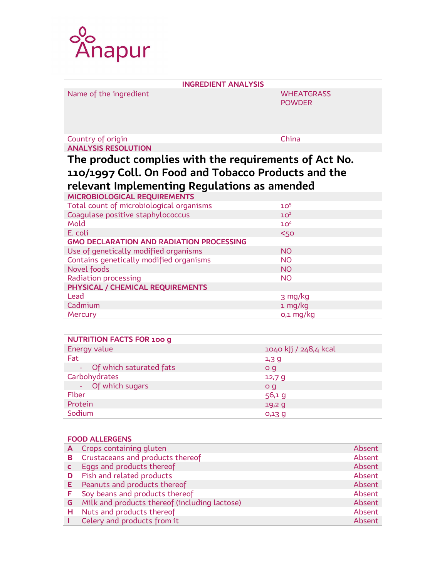

| <b>INGREDIENT ANALYSIS</b>                            |                   |  |  |
|-------------------------------------------------------|-------------------|--|--|
| Name of the ingredient                                | <b>WHEATGRASS</b> |  |  |
|                                                       | <b>POWDER</b>     |  |  |
|                                                       |                   |  |  |
|                                                       |                   |  |  |
| Country of origin                                     | China             |  |  |
| <b>ANALYSIS RESOLUTION</b>                            |                   |  |  |
|                                                       |                   |  |  |
| The product complies with the requirements of Act No. |                   |  |  |
| 110/1997 Coll. On Food and Tobacco Products and the   |                   |  |  |
| relevant Implementing Regulations as amended          |                   |  |  |
| MICROBIOLOGICAL REQUIREMENTS                          |                   |  |  |
| Total count of microbiological organisms              | 10 <sup>5</sup>   |  |  |
| Coagulase positive staphylococcus                     | 10 <sup>2</sup>   |  |  |
| Mold                                                  | 10 <sup>4</sup>   |  |  |
| E. coli                                               | <50               |  |  |
| <b>GMO DECLARATION AND RADIATION PROCESSING</b>       |                   |  |  |
| Use of genetically modified organisms                 | <b>NO</b>         |  |  |
| Contains genetically modified organisms               | <b>NO</b>         |  |  |
| Novel foods                                           | <b>NO</b>         |  |  |
| <b>Radiation processing</b>                           | <b>NO</b>         |  |  |
| PHYSICAL / CHEMICAL REQUIREMENTS                      |                   |  |  |
| Lead                                                  | 3 mg/kg           |  |  |
| Cadmium                                               | 1 mg/kg           |  |  |
| Mercury                                               | o,1 mg/kg         |  |  |

| <b>NUTRITION FACTS FOR 100 g</b> |                       |
|----------------------------------|-----------------------|
| Energy value                     | 1040 kJj / 248,4 kcal |
| Fat                              | $1,3$ g               |
| - Of which saturated fats        | o q                   |
| Carbohydrates                    | 12,79                 |
| - Of which sugars                | o q                   |
| Fiber                            | 56,1 g                |
| Protein                          | 19,29                 |
| Sodium                           | $O13$ g               |

| <b>FOOD ALLERGENS</b> |                                               |        |
|-----------------------|-----------------------------------------------|--------|
| A                     | Crops containing gluten                       | Absent |
| в                     | Crustaceans and products thereof              | Absent |
|                       | Eggs and products thereof                     | Absent |
| D                     | Fish and related products                     | Absent |
| E.                    | Peanuts and products thereof                  | Absent |
|                       | Soy beans and products thereof                | Absent |
| G                     | Milk and products thereof (including lactose) | Absent |
| н                     | Nuts and products thereof                     | Absent |
|                       | Celery and products from it                   | Absent |